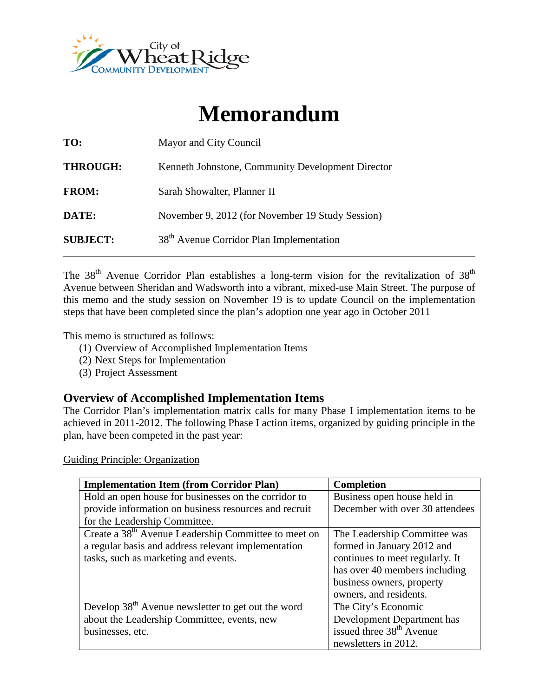

# **Memorandum**

| TO:             | Mayor and City Council                               |  |  |
|-----------------|------------------------------------------------------|--|--|
| <b>THROUGH:</b> | Kenneth Johnstone, Community Development Director    |  |  |
| <b>FROM:</b>    | Sarah Showalter, Planner II                          |  |  |
| DATE:           | November 9, 2012 (for November 19 Study Session)     |  |  |
| <b>SUBJECT:</b> | 38 <sup>th</sup> Avenue Corridor Plan Implementation |  |  |

The  $38<sup>th</sup>$  Avenue Corridor Plan establishes a long-term vision for the revitalization of  $38<sup>th</sup>$ Avenue between Sheridan and Wadsworth into a vibrant, mixed-use Main Street. The purpose of this memo and the study session on November 19 is to update Council on the implementation steps that have been completed since the plan's adoption one year ago in October 2011

This memo is structured as follows:

- (1) Overview of Accomplished Implementation Items
- (2) Next Steps for Implementation
- (3) Project Assessment

# **Overview of Accomplished Implementation Items**

The Corridor Plan's implementation matrix calls for many Phase I implementation items to be achieved in 2011-2012. The following Phase I action items, organized by guiding principle in the plan, have been competed in the past year:

Guiding Principle: Organization

| <b>Implementation Item (from Corridor Plan)</b>                  | <b>Completion</b>                    |  |
|------------------------------------------------------------------|--------------------------------------|--|
| Hold an open house for businesses on the corridor to             | Business open house held in          |  |
| provide information on business resources and recruit            | December with over 30 attendees      |  |
| for the Leadership Committee.                                    |                                      |  |
| Create a 38 <sup>th</sup> Avenue Leadership Committee to meet on | The Leadership Committee was         |  |
| a regular basis and address relevant implementation              | formed in January 2012 and           |  |
| tasks, such as marketing and events.                             | continues to meet regularly. It      |  |
|                                                                  | has over 40 members including        |  |
|                                                                  | business owners, property            |  |
|                                                                  | owners, and residents.               |  |
| Develop 38 <sup>th</sup> Avenue newsletter to get out the word   | The City's Economic                  |  |
| about the Leadership Committee, events, new                      | Development Department has           |  |
| businesses, etc.                                                 | issued three 38 <sup>th</sup> Avenue |  |
|                                                                  | newsletters in 2012.                 |  |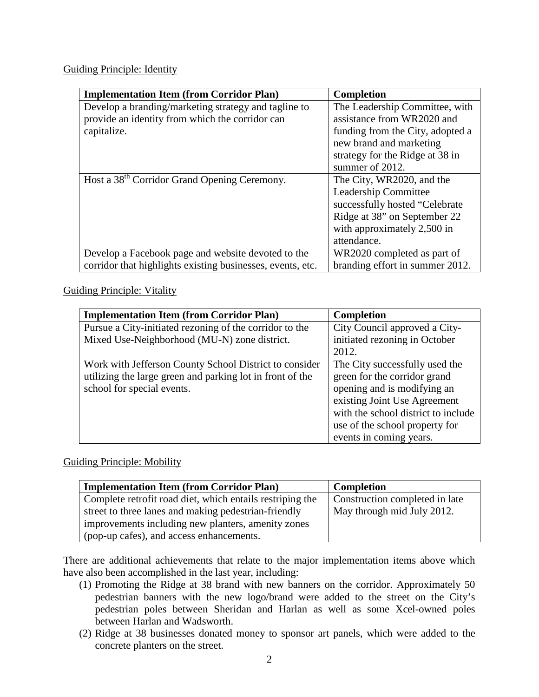Guiding Principle: Identity

| <b>Implementation Item (from Corridor Plan)</b>            | <b>Completion</b>                |  |
|------------------------------------------------------------|----------------------------------|--|
| Develop a branding/marketing strategy and tagline to       | The Leadership Committee, with   |  |
| provide an identity from which the corridor can            | assistance from WR2020 and       |  |
| capitalize.                                                | funding from the City, adopted a |  |
|                                                            | new brand and marketing          |  |
|                                                            | strategy for the Ridge at 38 in  |  |
|                                                            | summer of 2012.                  |  |
| Host a 38 <sup>th</sup> Corridor Grand Opening Ceremony.   | The City, WR2020, and the        |  |
|                                                            | Leadership Committee             |  |
|                                                            | successfully hosted "Celebrate"  |  |
|                                                            | Ridge at 38" on September 22     |  |
|                                                            | with approximately 2,500 in      |  |
|                                                            | attendance.                      |  |
| Develop a Facebook page and website devoted to the         | WR2020 completed as part of      |  |
| corridor that highlights existing businesses, events, etc. | branding effort in summer 2012.  |  |

#### Guiding Principle: Vitality

| <b>Implementation Item (from Corridor Plan)</b>                                                                                                   | <b>Completion</b>                                                                                                                                                                                                                 |  |
|---------------------------------------------------------------------------------------------------------------------------------------------------|-----------------------------------------------------------------------------------------------------------------------------------------------------------------------------------------------------------------------------------|--|
| Pursue a City-initiated rezoning of the corridor to the                                                                                           | City Council approved a City-                                                                                                                                                                                                     |  |
| Mixed Use-Neighborhood (MU-N) zone district.                                                                                                      | initiated rezoning in October                                                                                                                                                                                                     |  |
|                                                                                                                                                   | 2012.                                                                                                                                                                                                                             |  |
| Work with Jefferson County School District to consider<br>utilizing the large green and parking lot in front of the<br>school for special events. | The City successfully used the<br>green for the corridor grand<br>opening and is modifying an<br>existing Joint Use Agreement<br>with the school district to include<br>use of the school property for<br>events in coming years. |  |

#### Guiding Principle: Mobility

| <b>Implementation Item (from Corridor Plan)</b>           | <b>Completion</b>              |
|-----------------------------------------------------------|--------------------------------|
| Complete retrofit road diet, which entails restriping the | Construction completed in late |
| street to three lanes and making pedestrian-friendly      | May through mid July 2012.     |
| improvements including new planters, amenity zones        |                                |
| (pop-up cafes), and access enhancements.                  |                                |

There are additional achievements that relate to the major implementation items above which have also been accomplished in the last year, including:

- (1) Promoting the Ridge at 38 brand with new banners on the corridor. Approximately 50 pedestrian banners with the new logo/brand were added to the street on the City's pedestrian poles between Sheridan and Harlan as well as some Xcel-owned poles between Harlan and Wadsworth.
- (2) Ridge at 38 businesses donated money to sponsor art panels, which were added to the concrete planters on the street.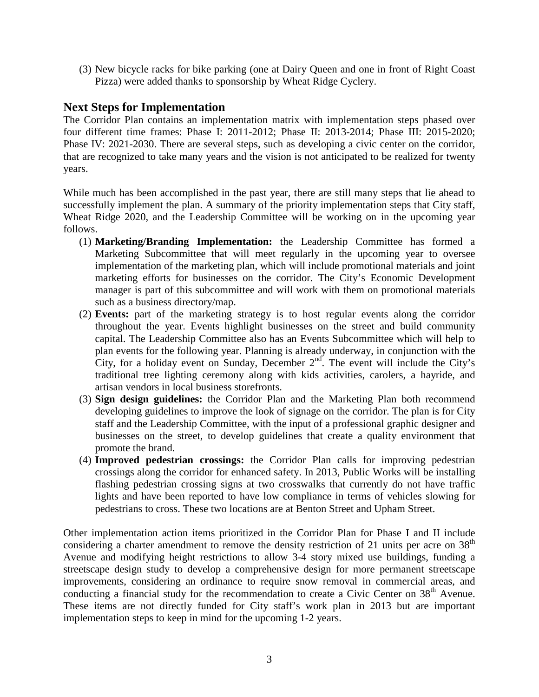(3) New bicycle racks for bike parking (one at Dairy Queen and one in front of Right Coast Pizza) were added thanks to sponsorship by Wheat Ridge Cyclery.

#### **Next Steps for Implementation**

The Corridor Plan contains an implementation matrix with implementation steps phased over four different time frames: Phase I: 2011-2012; Phase II: 2013-2014; Phase III: 2015-2020; Phase IV: 2021-2030. There are several steps, such as developing a civic center on the corridor, that are recognized to take many years and the vision is not anticipated to be realized for twenty years.

While much has been accomplished in the past year, there are still many steps that lie ahead to successfully implement the plan. A summary of the priority implementation steps that City staff, Wheat Ridge 2020, and the Leadership Committee will be working on in the upcoming year follows.

- (1) **Marketing/Branding Implementation:** the Leadership Committee has formed a Marketing Subcommittee that will meet regularly in the upcoming year to oversee implementation of the marketing plan, which will include promotional materials and joint marketing efforts for businesses on the corridor. The City's Economic Development manager is part of this subcommittee and will work with them on promotional materials such as a business directory/map.
- (2) **Events:** part of the marketing strategy is to host regular events along the corridor throughout the year. Events highlight businesses on the street and build community capital. The Leadership Committee also has an Events Subcommittee which will help to plan events for the following year. Planning is already underway, in conjunction with the City, for a holiday event on Sunday, December  $2<sup>nd</sup>$ . The event will include the City's traditional tree lighting ceremony along with kids activities, carolers, a hayride, and artisan vendors in local business storefronts.
- (3) **Sign design guidelines:** the Corridor Plan and the Marketing Plan both recommend developing guidelines to improve the look of signage on the corridor. The plan is for City staff and the Leadership Committee, with the input of a professional graphic designer and businesses on the street, to develop guidelines that create a quality environment that promote the brand.
- (4) **Improved pedestrian crossings:** the Corridor Plan calls for improving pedestrian crossings along the corridor for enhanced safety. In 2013, Public Works will be installing flashing pedestrian crossing signs at two crosswalks that currently do not have traffic lights and have been reported to have low compliance in terms of vehicles slowing for pedestrians to cross. These two locations are at Benton Street and Upham Street.

Other implementation action items prioritized in the Corridor Plan for Phase I and II include considering a charter amendment to remove the density restriction of 21 units per acre on  $38<sup>th</sup>$ Avenue and modifying height restrictions to allow 3-4 story mixed use buildings, funding a streetscape design study to develop a comprehensive design for more permanent streetscape improvements, considering an ordinance to require snow removal in commercial areas, and conducting a financial study for the recommendation to create a Civic Center on 38<sup>th</sup> Avenue. These items are not directly funded for City staff's work plan in 2013 but are important implementation steps to keep in mind for the upcoming 1-2 years.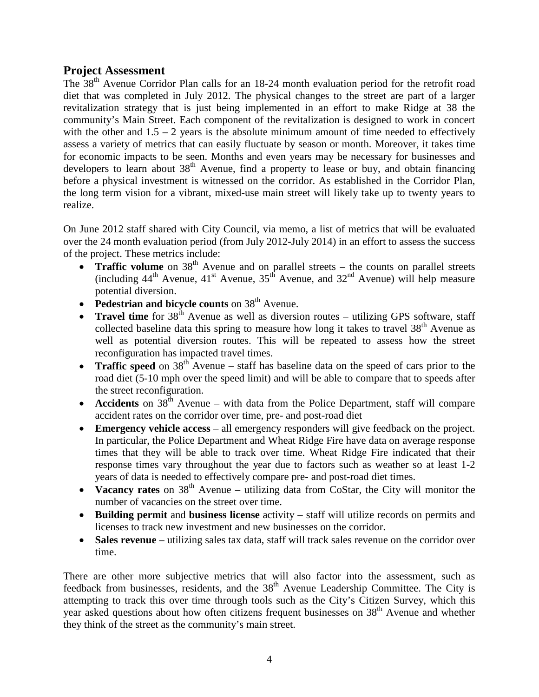#### **Project Assessment**

The 38th Avenue Corridor Plan calls for an 18-24 month evaluation period for the retrofit road diet that was completed in July 2012. The physical changes to the street are part of a larger revitalization strategy that is just being implemented in an effort to make Ridge at 38 the community's Main Street. Each component of the revitalization is designed to work in concert with the other and  $1.5 - 2$  years is the absolute minimum amount of time needed to effectively assess a variety of metrics that can easily fluctuate by season or month. Moreover, it takes time for economic impacts to be seen. Months and even years may be necessary for businesses and developers to learn about  $38<sup>th</sup>$  Avenue, find a property to lease or buy, and obtain financing before a physical investment is witnessed on the corridor. As established in the Corridor Plan, the long term vision for a vibrant, mixed-use main street will likely take up to twenty years to realize.

On June 2012 staff shared with City Council, via memo, a list of metrics that will be evaluated over the 24 month evaluation period (from July 2012-July 2014) in an effort to assess the success of the project. These metrics include:

- **Traffic volume** on 38<sup>th</sup> Avenue and on parallel streets the counts on parallel streets (including  $44^{\text{th}}$  Avenue,  $41^{\text{st}}$  Avenue,  $35^{\text{th}}$  Avenue, and  $32^{\text{nd}}$  Avenue) will help measure potential diversion.
- **Pedestrian and bicycle counts** on 38<sup>th</sup> Avenue.
- **Travel time** for  $38<sup>th</sup>$  Avenue as well as diversion routes utilizing GPS software, staff collected baseline data this spring to measure how long it takes to travel  $38<sup>th</sup>$  Avenue as well as potential diversion routes. This will be repeated to assess how the street reconfiguration has impacted travel times.
- **Traffic speed** on  $38<sup>th</sup>$  Avenue staff has baseline data on the speed of cars prior to the road diet (5-10 mph over the speed limit) and will be able to compare that to speeds after the street reconfiguration.
- **Accidents** on  $38<sup>th</sup>$  Avenue with data from the Police Department, staff will compare accident rates on the corridor over time, pre- and post-road diet
- **Emergency vehicle access** all emergency responders will give feedback on the project. In particular, the Police Department and Wheat Ridge Fire have data on average response times that they will be able to track over time. Wheat Ridge Fire indicated that their response times vary throughout the year due to factors such as weather so at least 1-2 years of data is needed to effectively compare pre- and post-road diet times.
- **Vacancy rates** on  $38<sup>th</sup>$  Avenue utilizing data from CoStar, the City will monitor the number of vacancies on the street over time.
- **Building permit** and **business license** activity staff will utilize records on permits and licenses to track new investment and new businesses on the corridor.
- **Sales revenue** utilizing sales tax data, staff will track sales revenue on the corridor over time.

There are other more subjective metrics that will also factor into the assessment, such as feedback from businesses, residents, and the 38<sup>th</sup> Avenue Leadership Committee. The City is attempting to track this over time through tools such as the City's Citizen Survey, which this year asked questions about how often citizens frequent businesses on 38<sup>th</sup> Avenue and whether they think of the street as the community's main street.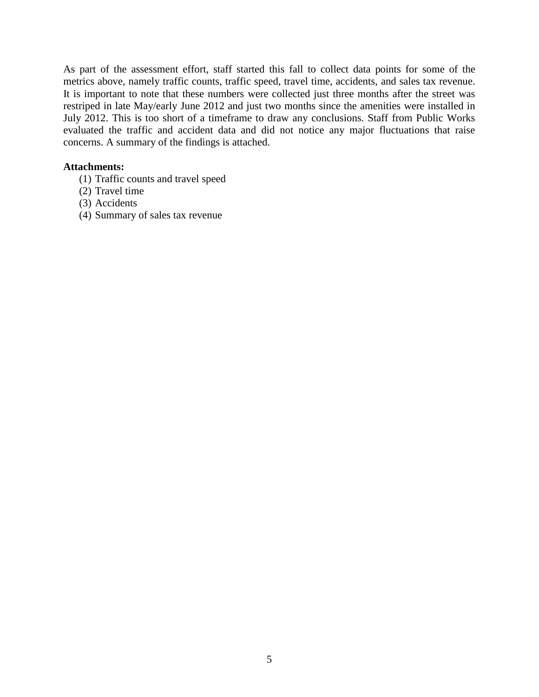As part of the assessment effort, staff started this fall to collect data points for some of the metrics above, namely traffic counts, traffic speed, travel time, accidents, and sales tax revenue. It is important to note that these numbers were collected just three months after the street was restriped in late May/early June 2012 and just two months since the amenities were installed in July 2012. This is too short of a timeframe to draw any conclusions. Staff from Public Works evaluated the traffic and accident data and did not notice any major fluctuations that raise concerns. A summary of the findings is attached.

#### **Attachments:**

- (1) Traffic counts and travel speed
- (2) Travel time
- (3) Accidents
- (4) Summary of sales tax revenue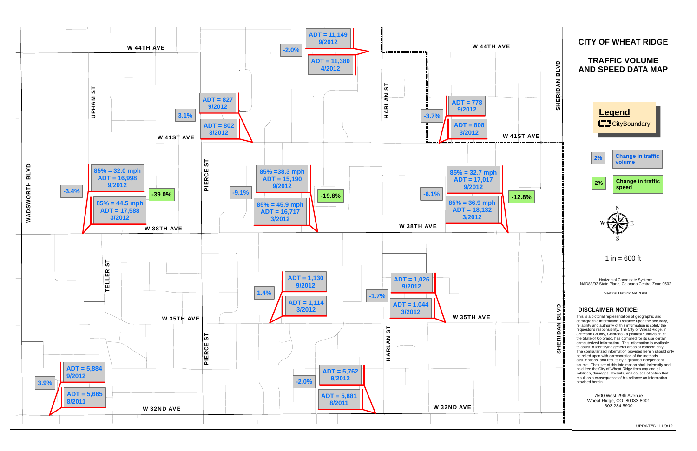UPDATED: 11/9/12



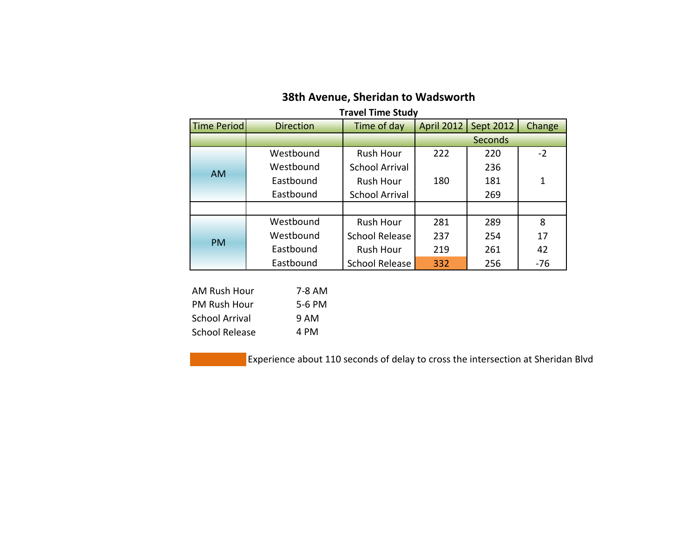| <b>Travel Time Study</b> |                  |                       |                |           |        |  |
|--------------------------|------------------|-----------------------|----------------|-----------|--------|--|
| <b>Time Period</b>       | <b>Direction</b> | Time of day           | April 2012     | Sept 2012 | Change |  |
|                          |                  |                       | <b>Seconds</b> |           |        |  |
| <b>AM</b>                | Westbound        | <b>Rush Hour</b>      | 222            | 220       | $-2$   |  |
|                          | Westbound        | <b>School Arrival</b> |                | 236       |        |  |
|                          | Eastbound        | <b>Rush Hour</b>      | 180            | 181       | 1      |  |
|                          | Eastbound        | <b>School Arrival</b> |                | 269       |        |  |
|                          |                  |                       |                |           |        |  |
| <b>PM</b>                | Westbound        | <b>Rush Hour</b>      | 281            | 289       | 8      |  |
|                          | Westbound        | <b>School Release</b> | 237            | 254       | 17     |  |
|                          | Eastbound        | <b>Rush Hour</b>      | 219            | 261       | 42     |  |
|                          | Eastbound        | <b>School Release</b> | 332            | 256       | $-76$  |  |

# **38th Avenue, Sheridan to Wadsworth**

| AM Rush Hour          | 7-8 AM |
|-----------------------|--------|
| <b>PM Rush Hour</b>   | 5-6 PM |
| <b>School Arrival</b> | 9 AM   |
| School Release        | 4 PM   |

Experience about 110 seconds of delay to cross the intersection at Sheridan Blvd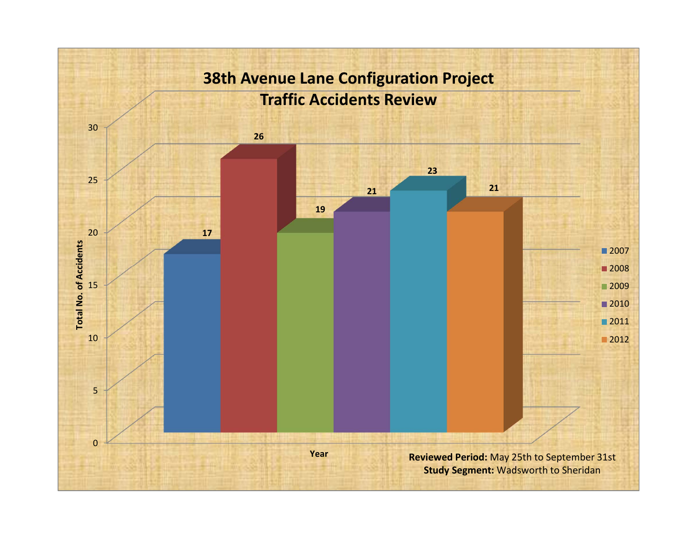